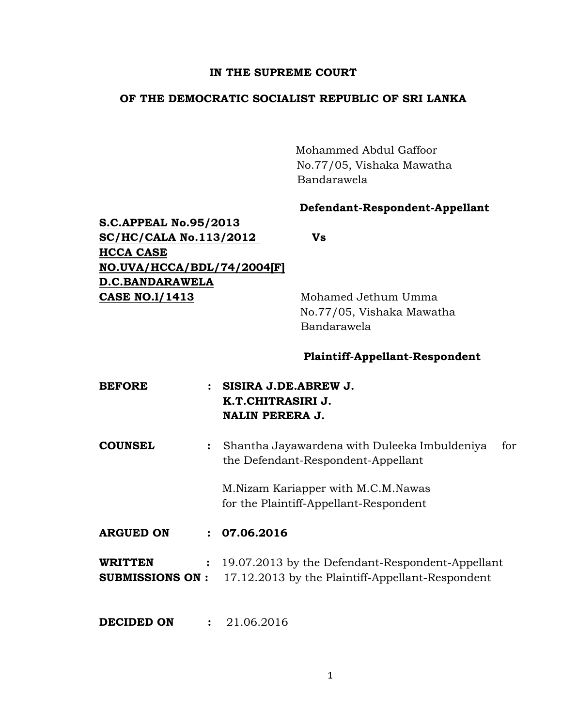#### **IN THE SUPREME COURT**

### **OF THE DEMOCRATIC SOCIALIST REPUBLIC OF SRI LANKA**

 Mohammed Abdul Gaffoor No.77/05, Vishaka Mawatha Bandarawela

### **Defendant-Respondent-Appellant**

**S.C.APPEAL No.95/2013 SC/HC/CALA No.113/2012 Vs HCCA CASE NO.UVA/HCCA/BDL/74/2004[F] D.C.BANDARAWELA CASE NO.1/1413** Mohamed Jethum Umma

No.77/05, Vishaka Mawatha Bandarawela

#### **Plaintiff-Appellant-Respondent**

- **BEFORE : SISIRA J.DE.ABREW J. K.T.CHITRASIRI J. NALIN PERERA J.**
- **COUNSEL :** Shantha Jayawardena with Duleeka Imbuldeniya for the Defendant-Respondent-Appellant

 M.Nizam Kariapper with M.C.M.Nawas for the Plaintiff-Appellant-Respondent

**ARGUED ON : 07.06.2016**

| <b>WRITTEN</b>         | 19.07.2013 by the Defendant-Respondent-Appellant |
|------------------------|--------------------------------------------------|
| <b>SUBMISSIONS ON:</b> | 17.12.2013 by the Plaintiff-Appellant-Respondent |

**DECIDED ON : 21.06.2016**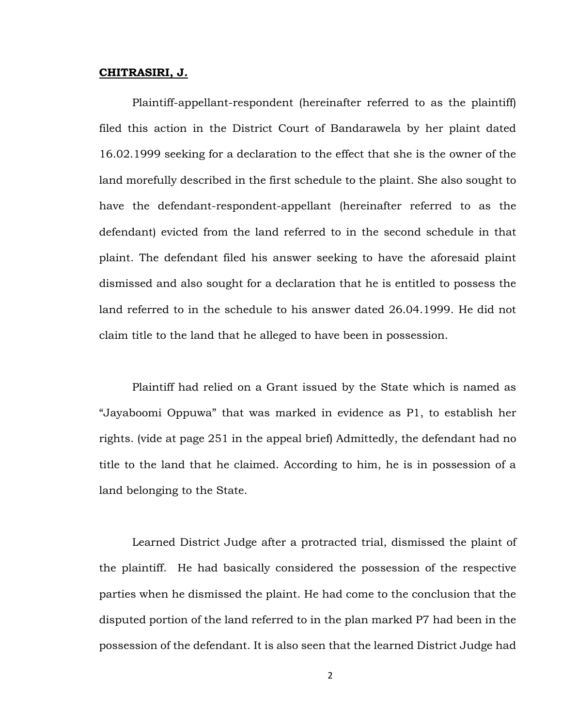#### **CHITRASIRI, J.**

Plaintiff-appellant-respondent (hereinafter referred to as the plaintiff) filed this action in the District Court of Bandarawela by her plaint dated 16.02.1999 seeking for a declaration to the effect that she is the owner of the land morefully described in the first schedule to the plaint. She also sought to have the defendant-respondent-appellant (hereinafter referred to as the defendant) evicted from the land referred to in the second schedule in that plaint. The defendant filed his answer seeking to have the aforesaid plaint dismissed and also sought for a declaration that he is entitled to possess the land referred to in the schedule to his answer dated 26.04.1999. He did not claim title to the land that he alleged to have been in possession.

Plaintiff had relied on a Grant issued by the State which is named as "Jayaboomi Oppuwa" that was marked in evidence as P1, to establish her rights. (vide at page 251 in the appeal brief) Admittedly, the defendant had no title to the land that he claimed. According to him, he is in possession of a land belonging to the State.

Learned District Judge after a protracted trial, dismissed the plaint of the plaintiff. He had basically considered the possession of the respective parties when he dismissed the plaint. He had come to the conclusion that the disputed portion of the land referred to in the plan marked P7 had been in the possession of the defendant. It is also seen that the learned District Judge had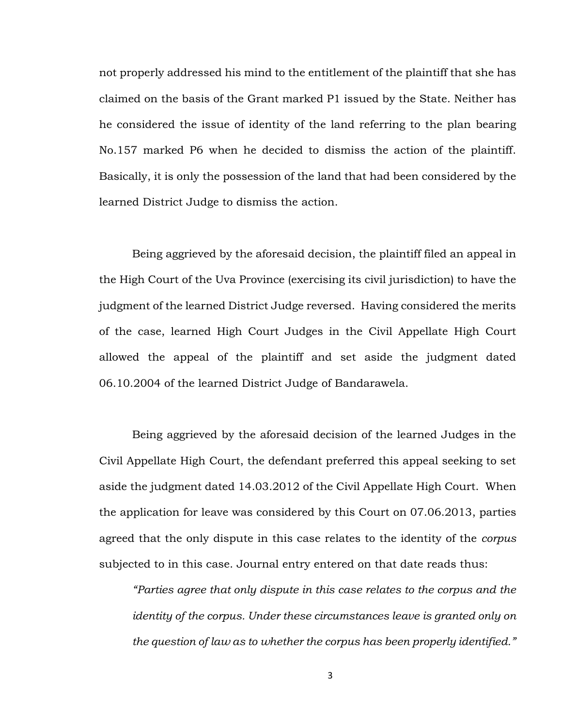not properly addressed his mind to the entitlement of the plaintiff that she has claimed on the basis of the Grant marked P1 issued by the State. Neither has he considered the issue of identity of the land referring to the plan bearing No.157 marked P6 when he decided to dismiss the action of the plaintiff. Basically, it is only the possession of the land that had been considered by the learned District Judge to dismiss the action.

Being aggrieved by the aforesaid decision, the plaintiff filed an appeal in the High Court of the Uva Province (exercising its civil jurisdiction) to have the judgment of the learned District Judge reversed. Having considered the merits of the case, learned High Court Judges in the Civil Appellate High Court allowed the appeal of the plaintiff and set aside the judgment dated 06.10.2004 of the learned District Judge of Bandarawela.

Being aggrieved by the aforesaid decision of the learned Judges in the Civil Appellate High Court, the defendant preferred this appeal seeking to set aside the judgment dated 14.03.2012 of the Civil Appellate High Court. When the application for leave was considered by this Court on 07.06.2013, parties agreed that the only dispute in this case relates to the identity of the *corpus* subjected to in this case. Journal entry entered on that date reads thus:

*"Parties agree that only dispute in this case relates to the corpus and the identity of the corpus. Under these circumstances leave is granted only on the question of law as to whether the corpus has been properly identified."*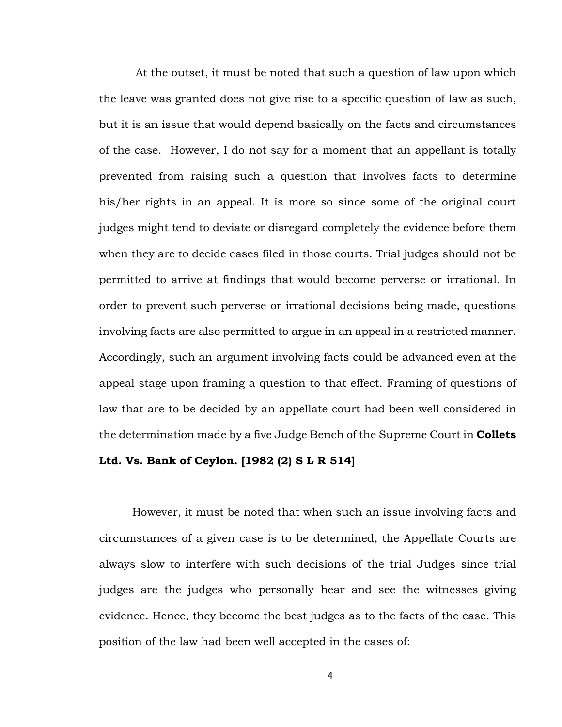At the outset, it must be noted that such a question of law upon which the leave was granted does not give rise to a specific question of law as such, but it is an issue that would depend basically on the facts and circumstances of the case. However, I do not say for a moment that an appellant is totally prevented from raising such a question that involves facts to determine his/her rights in an appeal. It is more so since some of the original court judges might tend to deviate or disregard completely the evidence before them when they are to decide cases filed in those courts. Trial judges should not be permitted to arrive at findings that would become perverse or irrational. In order to prevent such perverse or irrational decisions being made, questions involving facts are also permitted to argue in an appeal in a restricted manner. Accordingly, such an argument involving facts could be advanced even at the appeal stage upon framing a question to that effect. Framing of questions of law that are to be decided by an appellate court had been well considered in the determination made by a five Judge Bench of the Supreme Court in **Collets** 

### **Ltd. Vs. Bank of Ceylon. [1982 (2) S L R 514]**

However, it must be noted that when such an issue involving facts and circumstances of a given case is to be determined, the Appellate Courts are always slow to interfere with such decisions of the trial Judges since trial judges are the judges who personally hear and see the witnesses giving evidence. Hence, they become the best judges as to the facts of the case. This position of the law had been well accepted in the cases of: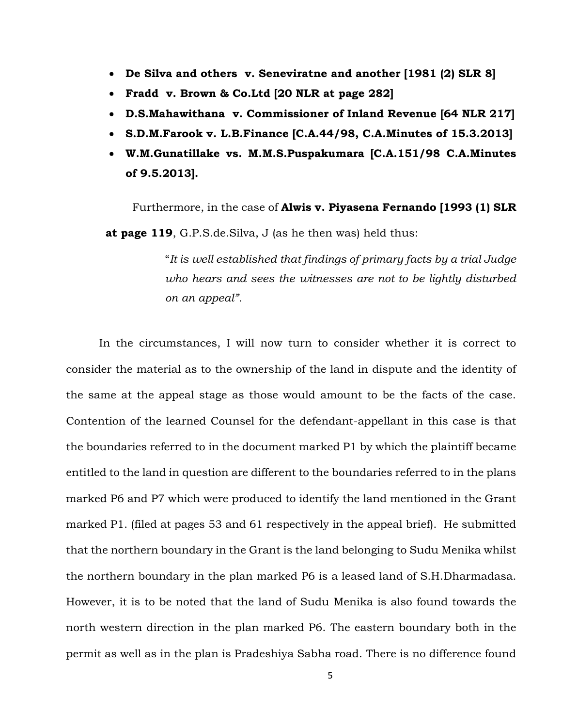- **De Silva and others v. Seneviratne and another [1981 (2) SLR 8]**
- **Fradd v. Brown & Co.Ltd [20 NLR at page 282]**
- **D.S.Mahawithana v. Commissioner of Inland Revenue [64 NLR 217]**
- **S.D.M.Farook v. L.B.Finance [C.A.44/98, C.A.Minutes of 15.3.2013]**
- **W.M.Gunatillake vs. M.M.S.Puspakumara [C.A.151/98 C.A.Minutes of 9.5.2013].**

Furthermore, in the case of **Alwis v. Piyasena Fernando [1993 (1) SLR at page 119**, G.P.S.de.Silva, J (as he then was) held thus:

> "*It is well established that findings of primary facts by a trial Judge who hears and sees the witnesses are not to be lightly disturbed on an appeal".*

In the circumstances, I will now turn to consider whether it is correct to consider the material as to the ownership of the land in dispute and the identity of the same at the appeal stage as those would amount to be the facts of the case. Contention of the learned Counsel for the defendant-appellant in this case is that the boundaries referred to in the document marked P1 by which the plaintiff became entitled to the land in question are different to the boundaries referred to in the plans marked P6 and P7 which were produced to identify the land mentioned in the Grant marked P1. (filed at pages 53 and 61 respectively in the appeal brief). He submitted that the northern boundary in the Grant is the land belonging to Sudu Menika whilst the northern boundary in the plan marked P6 is a leased land of S.H.Dharmadasa. However, it is to be noted that the land of Sudu Menika is also found towards the north western direction in the plan marked P6. The eastern boundary both in the permit as well as in the plan is Pradeshiya Sabha road. There is no difference found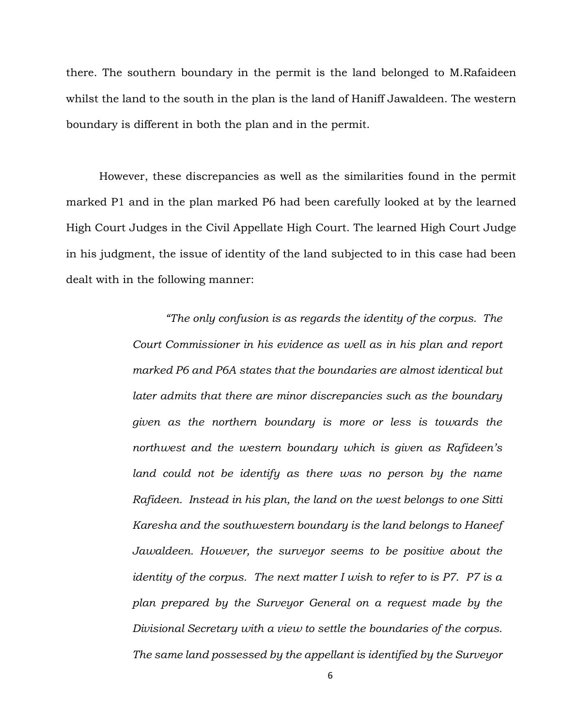there. The southern boundary in the permit is the land belonged to M.Rafaideen whilst the land to the south in the plan is the land of Haniff Jawaldeen. The western boundary is different in both the plan and in the permit.

However, these discrepancies as well as the similarities found in the permit marked P1 and in the plan marked P6 had been carefully looked at by the learned High Court Judges in the Civil Appellate High Court. The learned High Court Judge in his judgment, the issue of identity of the land subjected to in this case had been dealt with in the following manner:

> *"The only confusion is as regards the identity of the corpus. The Court Commissioner in his evidence as well as in his plan and report marked P6 and P6A states that the boundaries are almost identical but later admits that there are minor discrepancies such as the boundary given as the northern boundary is more or less is towards the northwest and the western boundary which is given as Rafideen's*  land could not be identify as there was no person by the name *Rafideen. Instead in his plan, the land on the west belongs to one Sitti Karesha and the southwestern boundary is the land belongs to Haneef Jawaldeen. However, the surveyor seems to be positive about the identity of the corpus. The next matter I wish to refer to is P7. P7 is a plan prepared by the Surveyor General on a request made by the Divisional Secretary with a view to settle the boundaries of the corpus. The same land possessed by the appellant is identified by the Surveyor*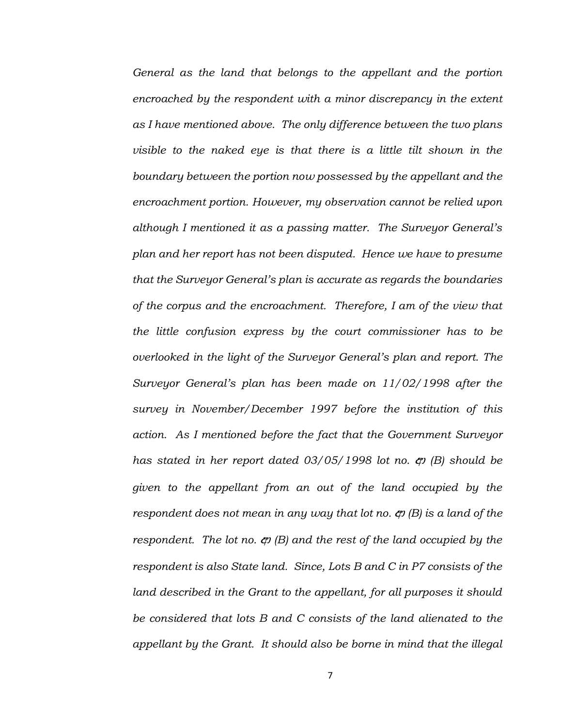*General as the land that belongs to the appellant and the portion encroached by the respondent with a minor discrepancy in the extent as I have mentioned above. The only difference between the two plans visible to the naked eye is that there is a little tilt shown in the boundary between the portion now possessed by the appellant and the encroachment portion. However, my observation cannot be relied upon although I mentioned it as a passing matter. The Surveyor General's plan and her report has not been disputed. Hence we have to presume that the Surveyor General's plan is accurate as regards the boundaries of the corpus and the encroachment. Therefore, I am of the view that the little confusion express by the court commissioner has to be overlooked in the light of the Surveyor General's plan and report. The Surveyor General's plan has been made on 11/02/1998 after the survey in November/December 1997 before the institution of this action. As I mentioned before the fact that the Government Surveyor has stated in her report dated 03/05/1998 lot no.*  $\sigma$  *(B) should be given to the appellant from an out of the land occupied by the respondent does not mean in any way that lot no.*  $\phi$  *(B) is a land of the respondent. The lot no.*  $\phi$  *(B) and the rest of the land occupied by the respondent is also State land. Since, Lots B and C in P7 consists of the*  land described in the Grant to the appellant, for all purposes it should *be considered that lots B and C consists of the land alienated to the appellant by the Grant. It should also be borne in mind that the illegal* 

7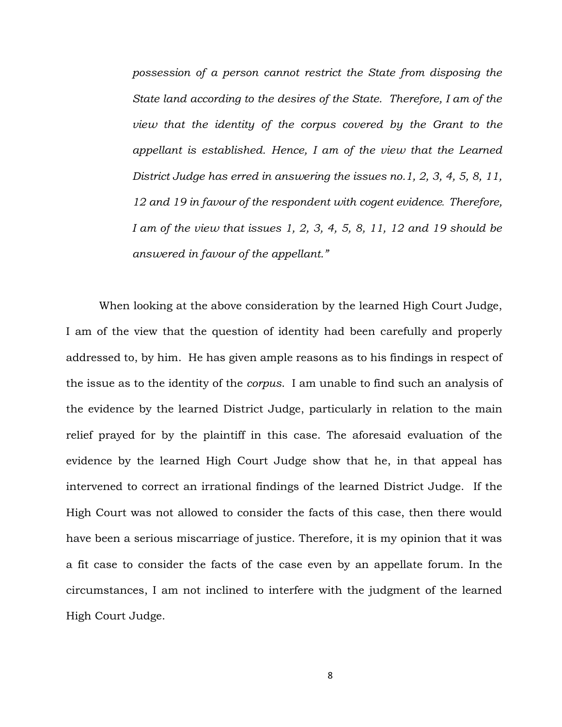*possession of a person cannot restrict the State from disposing the State land according to the desires of the State. Therefore, I am of the view that the identity of the corpus covered by the Grant to the appellant is established. Hence, I am of the view that the Learned District Judge has erred in answering the issues no.1, 2, 3, 4, 5, 8, 11, 12 and 19 in favour of the respondent with cogent evidence. Therefore, I am of the view that issues 1, 2, 3, 4, 5, 8, 11, 12 and 19 should be answered in favour of the appellant."*

When looking at the above consideration by the learned High Court Judge, I am of the view that the question of identity had been carefully and properly addressed to, by him. He has given ample reasons as to his findings in respect of the issue as to the identity of the *corpus*. I am unable to find such an analysis of the evidence by the learned District Judge, particularly in relation to the main relief prayed for by the plaintiff in this case. The aforesaid evaluation of the evidence by the learned High Court Judge show that he, in that appeal has intervened to correct an irrational findings of the learned District Judge. If the High Court was not allowed to consider the facts of this case, then there would have been a serious miscarriage of justice. Therefore, it is my opinion that it was a fit case to consider the facts of the case even by an appellate forum. In the circumstances, I am not inclined to interfere with the judgment of the learned High Court Judge.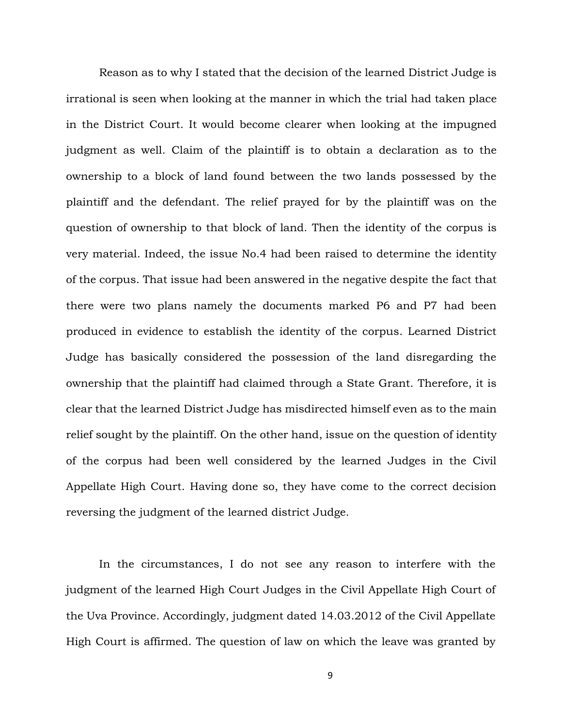Reason as to why I stated that the decision of the learned District Judge is irrational is seen when looking at the manner in which the trial had taken place in the District Court. It would become clearer when looking at the impugned judgment as well. Claim of the plaintiff is to obtain a declaration as to the ownership to a block of land found between the two lands possessed by the plaintiff and the defendant. The relief prayed for by the plaintiff was on the question of ownership to that block of land. Then the identity of the corpus is very material. Indeed, the issue No.4 had been raised to determine the identity of the corpus. That issue had been answered in the negative despite the fact that there were two plans namely the documents marked P6 and P7 had been produced in evidence to establish the identity of the corpus. Learned District Judge has basically considered the possession of the land disregarding the ownership that the plaintiff had claimed through a State Grant. Therefore, it is clear that the learned District Judge has misdirected himself even as to the main relief sought by the plaintiff. On the other hand, issue on the question of identity of the corpus had been well considered by the learned Judges in the Civil Appellate High Court. Having done so, they have come to the correct decision reversing the judgment of the learned district Judge.

In the circumstances, I do not see any reason to interfere with the judgment of the learned High Court Judges in the Civil Appellate High Court of the Uva Province. Accordingly, judgment dated 14.03.2012 of the Civil Appellate High Court is affirmed. The question of law on which the leave was granted by